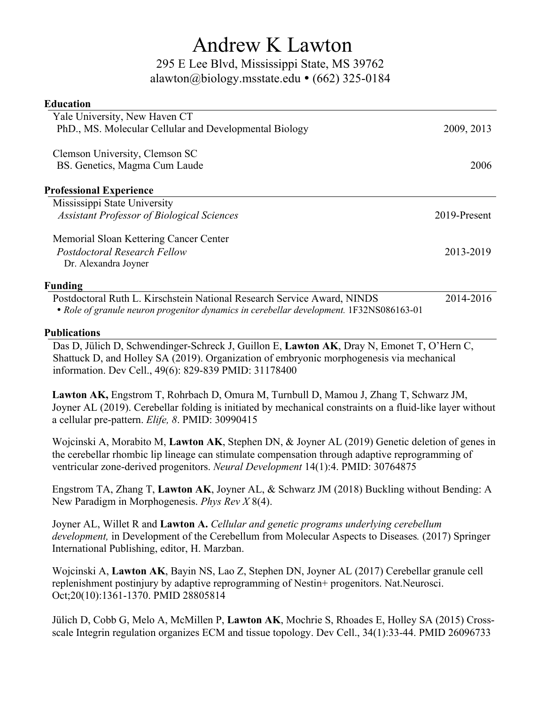## Andrew K Lawton

295 E Lee Blvd, Mississippi State, MS 39762 alawton@biology.msstate.edu  $\cdot$  (662) 325-0184

| <b>Education</b>                                                        |              |
|-------------------------------------------------------------------------|--------------|
| Yale University, New Haven CT                                           |              |
| PhD., MS. Molecular Cellular and Developmental Biology                  | 2009, 2013   |
| Clemson University, Clemson SC                                          |              |
| BS. Genetics, Magma Cum Laude                                           | 2006         |
| <b>Professional Experience</b>                                          |              |
| Mississippi State University                                            |              |
| <b>Assistant Professor of Biological Sciences</b>                       | 2019-Present |
| Memorial Sloan Kettering Cancer Center                                  |              |
| <b>Postdoctoral Research Fellow</b>                                     | 2013-2019    |
| Dr. Alexandra Joyner                                                    |              |
| <b>Funding</b>                                                          |              |
| Postdoctoral Ruth L. Kirschstein National Research Service Award, NINDS | 2014-2016    |

*Role of granule neuron progenitor dynamics in cerebellar development.* 1F32NS086163-01

## **Publications**

Das D, Jülich D, Schwendinger-Schreck J, Guillon E, **Lawton AK**, Dray N, Emonet T, O'Hern C, Shattuck D, and Holley SA (2019). Organization of embryonic morphogenesis via mechanical information. Dev Cell., 49(6): 829-839 PMID: 31178400

**Lawton AK,** Engstrom T, Rohrbach D, Omura M, Turnbull D, Mamou J, Zhang T, Schwarz JM, Joyner AL (2019). Cerebellar folding is initiated by mechanical constraints on a fluid-like layer without a cellular pre-pattern. *Elife, 8*. PMID: 30990415

Wojcinski A, Morabito M, **Lawton AK**, Stephen DN, & Joyner AL (2019) Genetic deletion of genes in the cerebellar rhombic lip lineage can stimulate compensation through adaptive reprogramming of ventricular zone-derived progenitors. *Neural Development* 14(1):4. PMID: 30764875

Engstrom TA, Zhang T, **Lawton AK**, Joyner AL, & Schwarz JM (2018) Buckling without Bending: A New Paradigm in Morphogenesis. *Phys Rev X* 8(4).

Joyner AL, Willet R and **Lawton A.** *Cellular and genetic programs underlying cerebellum development,* in Development of the Cerebellum from Molecular Aspects to Diseases*.* (2017) Springer International Publishing, editor, H. Marzban.

Wojcinski A, **Lawton AK**, Bayin NS, Lao Z, Stephen DN, Joyner AL (2017) Cerebellar granule cell replenishment postinjury by adaptive reprogramming of Nestin+ progenitors. Nat.Neurosci. Oct;20(10):1361-1370. PMID 28805814

Jülich D, Cobb G, Melo A, McMillen P, **Lawton AK**, Mochrie S, Rhoades E, Holley SA (2015) Crossscale Integrin regulation organizes ECM and tissue topology. Dev Cell., 34(1):33-44. PMID 26096733